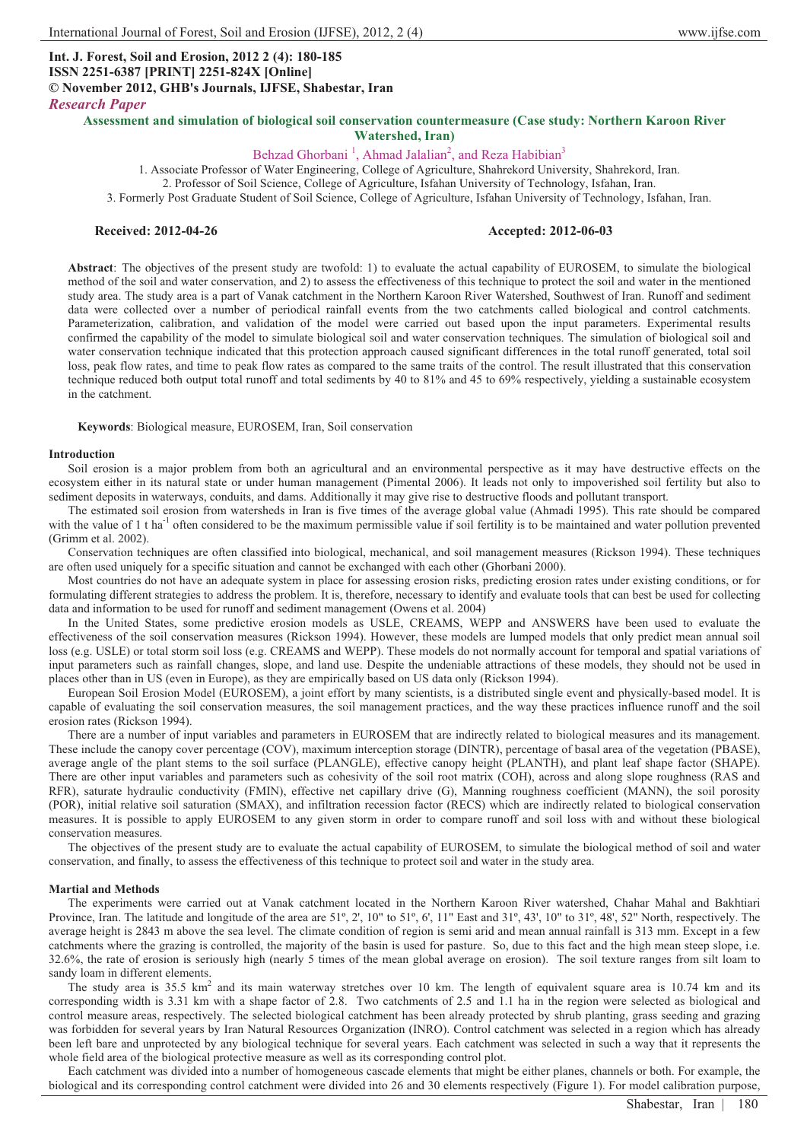# **Int. J. Forest, Soil and Erosion, 2012 2 (4): 180-185 ISSN 2251-6387 [PRINT] 2251-824X [Online] © November 2012, GHB's Journals, IJFSE, Shabestar, Iran** *Research Paper*

**Assessment and simulation of biological soil conservation countermeasure (Case study: Northern Karoon River Watershed, Iran)** 

# Behzad Ghorbani<sup>1</sup>, Ahmad Jalalian<sup>2</sup>, and Reza Habibian<sup>3</sup>

1. Associate Professor of Water Engineering, College of Agriculture, Shahrekord University, Shahrekord, Iran.

2. Professor of Soil Science, College of Agriculture, Isfahan University of Technology, Isfahan, Iran.

3. Formerly Post Graduate Student of Soil Science, College of Agriculture, Isfahan University of Technology, Isfahan, Iran.

### **Received: 2012-04-26 Accepted: 2012-06-03**

**Abstract**: The objectives of the present study are twofold: 1) to evaluate the actual capability of EUROSEM, to simulate the biological method of the soil and water conservation, and 2) to assess the effectiveness of this technique to protect the soil and water in the mentioned study area. The study area is a part of Vanak catchment in the Northern Karoon River Watershed, Southwest of Iran. Runoff and sediment data were collected over a number of periodical rainfall events from the two catchments called biological and control catchments. Parameterization, calibration, and validation of the model were carried out based upon the input parameters. Experimental results confirmed the capability of the model to simulate biological soil and water conservation techniques. The simulation of biological soil and water conservation technique indicated that this protection approach caused significant differences in the total runoff generated, total soil loss, peak flow rates, and time to peak flow rates as compared to the same traits of the control. The result illustrated that this conservation technique reduced both output total runoff and total sediments by 40 to 81% and 45 to 69% respectively, yielding a sustainable ecosystem in the catchment.

**Keywords**: Biological measure, EUROSEM, Iran, Soil conservation

#### **Introduction**

Soil erosion is a major problem from both an agricultural and an environmental perspective as it may have destructive effects on the ecosystem either in its natural state or under human management (Pimental 2006). It leads not only to impoverished soil fertility but also to sediment deposits in waterways, conduits, and dams. Additionally it may give rise to destructive floods and pollutant transport.

The estimated soil erosion from watersheds in Iran is five times of the average global value (Ahmadi 1995). This rate should be compared with the value of 1 t ha<sup>-1</sup> often considered to be the maximum permissible value if soil fertility is to be maintained and water pollution prevented (Grimm et al. 2002).

Conservation techniques are often classified into biological, mechanical, and soil management measures (Rickson 1994). These techniques are often used uniquely for a specific situation and cannot be exchanged with each other (Ghorbani 2000).

Most countries do not have an adequate system in place for assessing erosion risks, predicting erosion rates under existing conditions, or for formulating different strategies to address the problem. It is, therefore, necessary to identify and evaluate tools that can best be used for collecting data and information to be used for runoff and sediment management (Owens et al. 2004)

In the United States, some predictive erosion models as USLE, CREAMS, WEPP and ANSWERS have been used to evaluate the effectiveness of the soil conservation measures (Rickson 1994). However, these models are lumped models that only predict mean annual soil loss (e.g. USLE) or total storm soil loss (e.g. CREAMS and WEPP). These models do not normally account for temporal and spatial variations of input parameters such as rainfall changes, slope, and land use. Despite the undeniable attractions of these models, they should not be used in places other than in US (even in Europe), as they are empirically based on US data only (Rickson 1994).

European Soil Erosion Model (EUROSEM), a joint effort by many scientists, is a distributed single event and physically-based model. It is capable of evaluating the soil conservation measures, the soil management practices, and the way these practices influence runoff and the soil erosion rates (Rickson 1994).

There are a number of input variables and parameters in EUROSEM that are indirectly related to biological measures and its management. These include the canopy cover percentage (COV), maximum interception storage (DINTR), percentage of basal area of the vegetation (PBASE), average angle of the plant stems to the soil surface (PLANGLE), effective canopy height (PLANTH), and plant leaf shape factor (SHAPE). There are other input variables and parameters such as cohesivity of the soil root matrix (COH), across and along slope roughness (RAS and RFR), saturate hydraulic conductivity (FMIN), effective net capillary drive (G), Manning roughness coefficient (MANN), the soil porosity (POR), initial relative soil saturation (SMAX), and infiltration recession factor (RECS) which are indirectly related to biological conservation measures. It is possible to apply EUROSEM to any given storm in order to compare runoff and soil loss with and without these biological conservation measures.

The objectives of the present study are to evaluate the actual capability of EUROSEM, to simulate the biological method of soil and water conservation, and finally, to assess the effectiveness of this technique to protect soil and water in the study area.

#### **Martial and Methods**

The experiments were carried out at Vanak catchment located in the Northern Karoon River watershed, Chahar Mahal and Bakhtiari Province, Iran. The latitude and longitude of the area are 51º, 2', 10" to 51º, 6', 11" East and 31º, 43', 10" to 31º, 48', 52" North, respectively. The average height is 2843 m above the sea level. The climate condition of region is semi arid and mean annual rainfall is 313 mm. Except in a few catchments where the grazing is controlled, the majority of the basin is used for pasture. So, due to this fact and the high mean steep slope, i.e. 32.6%, the rate of erosion is seriously high (nearly 5 times of the mean global average on erosion). The soil texture ranges from silt loam to sandy loam in different elements.

The study area is  $35.5 \text{ km}^2$  and its main waterway stretches over 10 km. The length of equivalent square area is 10.74 km and its corresponding width is 3.31 km with a shape factor of 2.8. Two catchments of 2.5 and 1.1 ha in the region were selected as biological and control measure areas, respectively. The selected biological catchment has been already protected by shrub planting, grass seeding and grazing was forbidden for several years by Iran Natural Resources Organization (INRO). Control catchment was selected in a region which has already been left bare and unprotected by any biological technique for several years. Each catchment was selected in such a way that it represents the whole field area of the biological protective measure as well as its corresponding control plot.

Each catchment was divided into a number of homogeneous cascade elements that might be either planes, channels or both. For example, the biological and its corresponding control catchment were divided into 26 and 30 elements respectively (Figure 1). For model calibration purpose,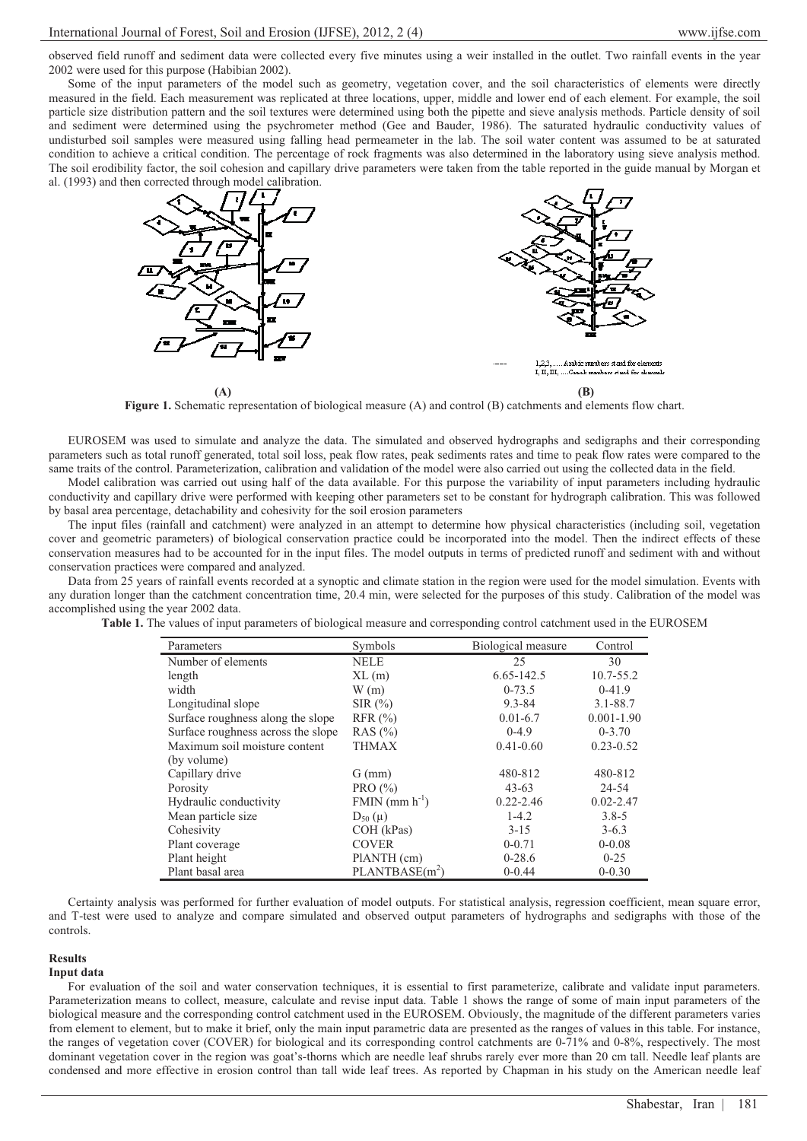observed field runoff and sediment data were collected every five minutes using a weir installed in the outlet. Two rainfall events in the year 2002 were used for this purpose (Habibian 2002).

Some of the input parameters of the model such as geometry, vegetation cover, and the soil characteristics of elements were directly measured in the field. Each measurement was replicated at three locations, upper, middle and lower end of each element. For example, the soil particle size distribution pattern and the soil textures were determined using both the pipette and sieve analysis methods. Particle density of soil and sediment were determined using the psychrometer method (Gee and Bauder, 1986). The saturated hydraulic conductivity values of undisturbed soil samples were measured using falling head permeameter in the lab. The soil water content was assumed to be at saturated condition to achieve a critical condition. The percentage of rock fragments was also determined in the laboratory using sieve analysis method. The soil erodibility factor, the soil cohesion and capillary drive parameters were taken from the table reported in the guide manual by Morgan et al. (1993) and then corrected through model calibration.



**Figure 1.** Schematic representation of biological measure (A) and control (B) catchments and elements flow chart.

EUROSEM was used to simulate and analyze the data. The simulated and observed hydrographs and sedigraphs and their corresponding parameters such as total runoff generated, total soil loss, peak flow rates, peak sediments rates and time to peak flow rates were compared to the same traits of the control. Parameterization, calibration and validation of the model were also carried out using the collected data in the field.

Model calibration was carried out using half of the data available. For this purpose the variability of input parameters including hydraulic conductivity and capillary drive were performed with keeping other parameters set to be constant for hydrograph calibration. This was followed by basal area percentage, detachability and cohesivity for the soil erosion parameters

The input files (rainfall and catchment) were analyzed in an attempt to determine how physical characteristics (including soil, vegetation cover and geometric parameters) of biological conservation practice could be incorporated into the model. Then the indirect effects of these conservation measures had to be accounted for in the input files. The model outputs in terms of predicted runoff and sediment with and without conservation practices were compared and analyzed.

Data from 25 years of rainfall events recorded at a synoptic and climate station in the region were used for the model simulation. Events with any duration longer than the catchment concentration time, 20.4 min, were selected for the purposes of this study. Calibration of the model was accomplished using the year 2002 data.

**Table 1.** The values of input parameters of biological measure and corresponding control catchment used in the EUROSEM

| Parameters                         | Symbols                    | Biological measure | Control        |
|------------------------------------|----------------------------|--------------------|----------------|
| Number of elements                 | <b>NELE</b>                | 25                 | 30             |
| length                             | $XL$ (m)                   | 6.65-142.5         | 10.7-55.2      |
| width                              | W(m)                       | $0-73.5$           | $0-41.9$       |
| Longitudinal slope                 | SIR(%)                     | $9.3 - 84$         | $3.1 - 88.7$   |
| Surface roughness along the slope  | RFR (%)                    | $0.01 - 6.7$       | $0.001 - 1.90$ |
| Surface roughness across the slope | RAS $(\% )$                | $0-4.9$            | $0 - 3.70$     |
| Maximum soil moisture content      | <b>THMAX</b>               | $0.41 - 0.60$      | $0.23 - 0.52$  |
| (by volume)                        |                            |                    |                |
| Capillary drive                    | $G$ (mm)                   | 480-812            | 480-812        |
| Porosity                           | PRO $(\% )$                | $43 - 63$          | 24-54          |
| Hydraulic conductivity             | $FMIN$ (mm $h^{-1}$ )      | $0.22 - 2.46$      | $0.02 - 2.47$  |
| Mean particle size                 | $D_{50}(\mu)$              | $1-4.2$            | $3.8 - 5$      |
| Cohesivity                         | COH (kPas)                 | $3 - 15$           | $3 - 6.3$      |
| Plant coverage                     | <b>COVER</b>               | $0 - 0.71$         | $0 - 0.08$     |
| Plant height                       | PlANTH (cm)                | $0-28.6$           | $0 - 25$       |
| Plant basal area                   | PLANTBASE(m <sup>2</sup> ) | $0 - 0.44$         | $0 - 0.30$     |

Certainty analysis was performed for further evaluation of model outputs. For statistical analysis, regression coefficient, mean square error, and T-test were used to analyze and compare simulated and observed output parameters of hydrographs and sedigraphs with those of the controls.

## **Results**

### **Input data**

For evaluation of the soil and water conservation techniques, it is essential to first parameterize, calibrate and validate input parameters. Parameterization means to collect, measure, calculate and revise input data. Table 1 shows the range of some of main input parameters of the biological measure and the corresponding control catchment used in the EUROSEM. Obviously, the magnitude of the different parameters varies from element to element, but to make it brief, only the main input parametric data are presented as the ranges of values in this table. For instance, the ranges of vegetation cover (COVER) for biological and its corresponding control catchments are 0-71% and 0-8%, respectively. The most dominant vegetation cover in the region was goat's-thorns which are needle leaf shrubs rarely ever more than 20 cm tall. Needle leaf plants are condensed and more effective in erosion control than tall wide leaf trees. As reported by Chapman in his study on the American needle leaf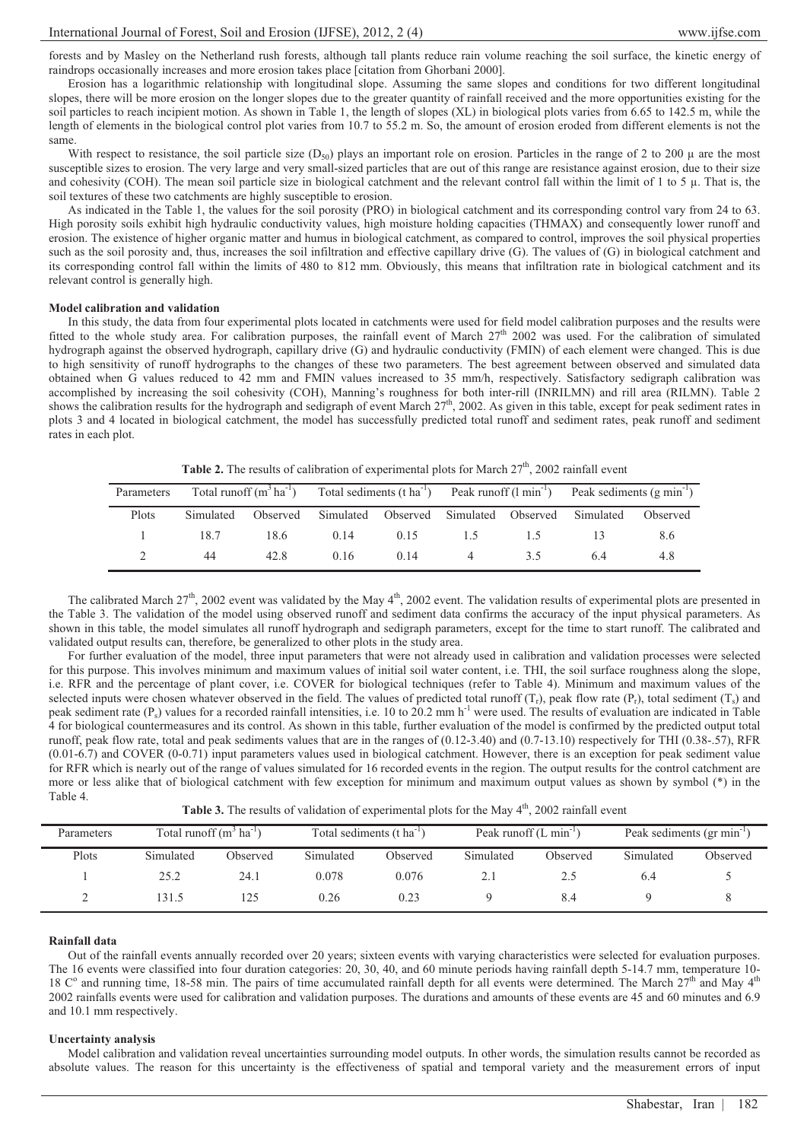forests and by Masley on the Netherland rush forests, although tall plants reduce rain volume reaching the soil surface, the kinetic energy of raindrops occasionally increases and more erosion takes place [citation from Ghorbani 2000].

Erosion has a logarithmic relationship with longitudinal slope. Assuming the same slopes and conditions for two different longitudinal slopes, there will be more erosion on the longer slopes due to the greater quantity of rainfall received and the more opportunities existing for the soil particles to reach incipient motion. As shown in Table 1, the length of slopes (XL) in biological plots varies from 6.65 to 142.5 m, while the length of elements in the biological control plot varies from 10.7 to 55.2 m. So, the amount of erosion eroded from different elements is not the same.

With respect to resistance, the soil particle size  $(D_{50})$  plays an important role on erosion. Particles in the range of 2 to 200  $\mu$  are the most susceptible sizes to erosion. The very large and very small-sized particles that are out of this range are resistance against erosion, due to their size and cohesivity (COH). The mean soil particle size in biological catchment and the relevant control fall within the limit of 1 to 5  $\mu$ . That is, the soil textures of these two catchments are highly susceptible to erosion.

As indicated in the Table 1, the values for the soil porosity (PRO) in biological catchment and its corresponding control vary from 24 to 63. High porosity soils exhibit high hydraulic conductivity values, high moisture holding capacities (THMAX) and consequently lower runoff and erosion. The existence of higher organic matter and humus in biological catchment, as compared to control, improves the soil physical properties such as the soil porosity and, thus, increases the soil infiltration and effective capillary drive (G). The values of (G) in biological catchment and its corresponding control fall within the limits of 480 to 812 mm. Obviously, this means that infiltration rate in biological catchment and its relevant control is generally high.

#### **Model calibration and validation**

-In this study, the data from four experimental plots located in catchments were used for field model calibration purposes and the results were fitted to the whole study area. For calibration purposes, the rainfall event of March 27<sup>th</sup> 2002 was used. For the calibration of simulated hydrograph against the observed hydrograph, capillary drive (G) and hydraulic conductivity (FMIN) of each element were changed. This is due to high sensitivity of runoff hydrographs to the changes of these two parameters. The best agreement between observed and simulated data obtained when G values reduced to 42 mm and FMIN values increased to 35 mm/h, respectively. Satisfactory sedigraph calibration was accomplished by increasing the soil cohesivity (COH), Manning's roughness for both inter-rill (INRILMN) and rill area (RILMN). Table 2 shows the calibration results for the hydrograph and sedigraph of event March  $27<sup>th</sup>$ , 2002. As given in this table, except for peak sediment rates in plots 3 and 4 located in biological catchment, the model has successfully predicted total runoff and sediment rates, peak runoff and sediment rates in each plot.

**Table 2.** The results of calibration of experimental plots for March  $27<sup>th</sup>$ , 2002 rainfall event

| Parameters |           |      |                                                          |      |     |    | Total runoff $(m^3 ha^{-1})$ Total sediments $(t ha^{-1})$ Peak runoff $(l min^{-1})$ Peak sediments $(g min^{-1})$ |          |
|------------|-----------|------|----------------------------------------------------------|------|-----|----|---------------------------------------------------------------------------------------------------------------------|----------|
| Plots      | Simulated |      | Observed Simulated Observed Simulated Observed Simulated |      |     |    |                                                                                                                     | Observed |
|            | 18.7      | 18.6 | 0.14                                                     | 0.15 | 1.5 |    |                                                                                                                     | 8.6      |
|            | 44        | 42.8 | 0.16                                                     | 0.14 | 4   | 35 | 64                                                                                                                  | 4.8      |

The calibrated March  $27<sup>th</sup>$ , 2002 event was validated by the May  $4<sup>th</sup>$ , 2002 event. The validation results of experimental plots are presented in the Table 3. The validation of the model using observed runoff and sediment data confirms the accuracy of the input physical parameters. As shown in this table, the model simulates all runoff hydrograph and sedigraph parameters, except for the time to start runoff. The calibrated and validated output results can, therefore, be generalized to other plots in the study area.

For further evaluation of the model, three input parameters that were not already used in calibration and validation processes were selected for this purpose. This involves minimum and maximum values of initial soil water content, i.e. THI, the soil surface roughness along the slope, i.e. RFR and the percentage of plant cover, i.e. COVER for biological techniques (refer to Table 4). Minimum and maximum values of the selected inputs were chosen whatever observed in the field. The values of predicted total runoff  $(T_r)$ , peak flow rate  $(P_r)$ , total sediment  $(T_s)$  and peak sediment rate  $(P_s)$  values for a recorded rainfall intensities, i.e. 10 to 20.2 mm h<sup>-1</sup> were used. The results of evaluation are indicated in Table 4 for biological countermeasures and its control. As shown in this table, further evaluation of the model is confirmed by the predicted output total runoff, peak flow rate, total and peak sediments values that are in the ranges of (0.12-3.40) and (0.7-13.10) respectively for THI (0.38-.57), RFR (0.01-6.7) and COVER (0-0.71) input parameters values used in biological catchment. However, there is an exception for peak sediment value for RFR which is nearly out of the range of values simulated for 16 recorded events in the region. The output results for the control catchment are more or less alike that of biological catchment with few exception for minimum and maximum output values as shown by symbol (\*) in the Table 4.

| Table 3. The results of validation of experimental plots for the May 4 <sup>th</sup> , 2002 rainfall event |  |
|------------------------------------------------------------------------------------------------------------|--|
|------------------------------------------------------------------------------------------------------------|--|

| Parameters | Total runoff $(m^3 \text{ ha}^{-1})$ |          | Total sediments (t ha <sup>-1</sup> ) |          | Peak runoff $(L \text{ min}^{-1})$ |          | Peak sediments (gr min <sup>-1)</sup> |          |
|------------|--------------------------------------|----------|---------------------------------------|----------|------------------------------------|----------|---------------------------------------|----------|
| Plots      | Simulated                            | Observed | Simulated                             | Observed | Simulated                          | Observed | Simulated                             | Observed |
|            | 25.2                                 | 24.1     | 0.078                                 | 0.076    | 2.1                                | 2.5      | 6.4                                   |          |
|            | 131.5                                |          | 0.26                                  | 0.23     |                                    | 8.4      |                                       |          |

#### **Rainfall data**

Out of the rainfall events annually recorded over 20 years; sixteen events with varying characteristics were selected for evaluation purposes. The 16 events were classified into four duration categories: 20, 30, 40, and 60 minute periods having rainfall depth 5-14.7 mm, temperature 10- 18 C° and running time, 18-58 min. The pairs of time accumulated rainfall depth for all events were determined. The March 27<sup>th</sup> and May 4<sup>th</sup> 2002 rainfalls events were used for calibration and validation purposes. The durations and amounts of these events are 45 and 60 minutes and 6.9 and 10.1 mm respectively.

#### **Uncertainty analysis**

Model calibration and validation reveal uncertainties surrounding model outputs. In other words, the simulation results cannot be recorded as absolute values. The reason for this uncertainty is the effectiveness of spatial and temporal variety and the measurement errors of input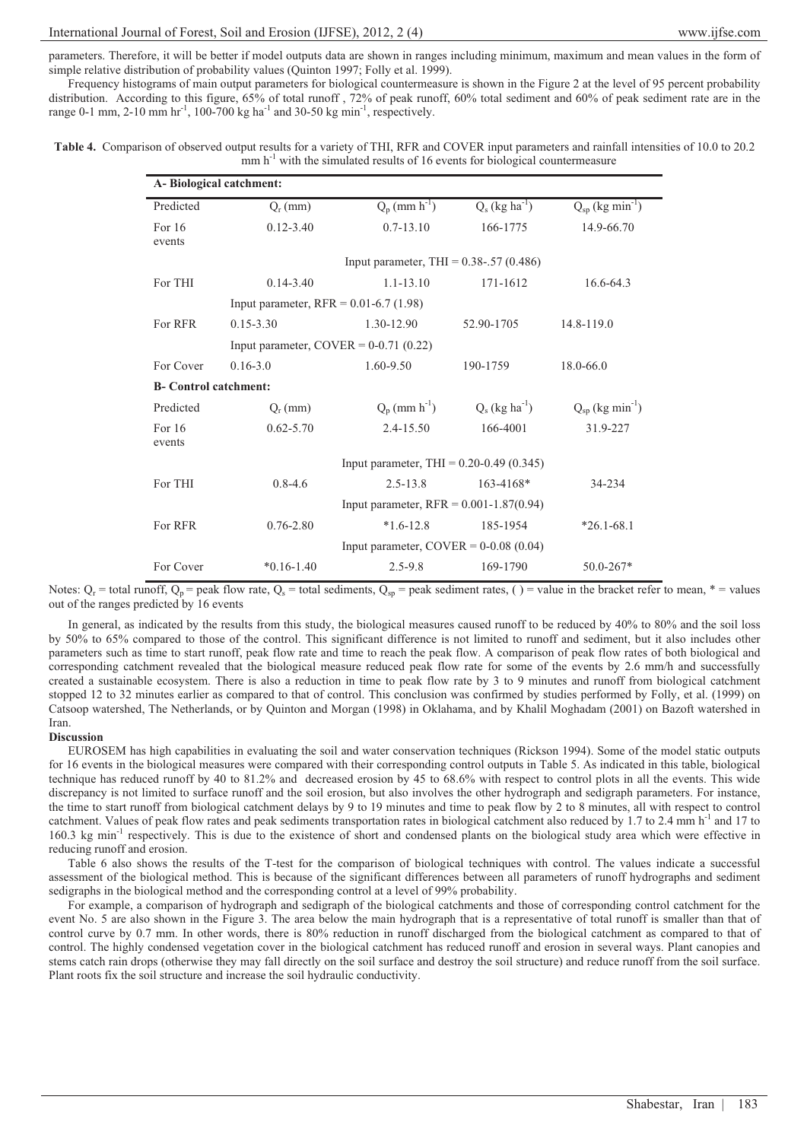parameters. Therefore, it will be better if model outputs data are shown in ranges including minimum, maximum and mean values in the form of simple relative distribution of probability values (Quinton 1997; Folly et al. 1999).

Frequency histograms of main output parameters for biological countermeasure is shown in the Figure 2 at the level of 95 percent probability distribution. According to this figure, 65% of total runoff, 72% of peak runoff, 60% total sediment and 60% of peak sediment rate are in the range 0-1 mm, 2-10 mm hr<sup>-1</sup>, 100-700 kg ha<sup>-1</sup> and 30-50 kg min<sup>-1</sup>, respectively.

| Table 4. Comparison of observed output results for a variety of THI, RFR and COVER input parameters and rainfall intensities of 10.0 to 20.2 |
|----------------------------------------------------------------------------------------------------------------------------------------------|
| $\mu$ mm h <sup>-1</sup> with the simulated results of 16 events for biological countermeasure                                               |

| A-Biological catchment:       |                                             |                                              |                              |                                  |  |  |  |  |  |  |
|-------------------------------|---------------------------------------------|----------------------------------------------|------------------------------|----------------------------------|--|--|--|--|--|--|
| Predicted                     | $Q_{r}(mm)$                                 | $Q_p$ (mm $h^{-1}$ )                         | $Q_s$ (kg ha <sup>-1</sup> ) | $Q_{sp}$ (kg min <sup>-1</sup> ) |  |  |  |  |  |  |
| For 16<br>events              | $0.12 - 3.40$                               | $0.7 - 13.10$                                | 166-1775                     | 14.9-66.70                       |  |  |  |  |  |  |
|                               | Input parameter, THI = $0.38$ -.57 (0.486)  |                                              |                              |                                  |  |  |  |  |  |  |
| For THI                       | $0.14 - 3.40$                               | $1.1 - 13.10$                                | 171-1612                     | 16.6-64.3                        |  |  |  |  |  |  |
|                               | Input parameter, $RFR = 0.01 - 6.7$ (1.98)  |                                              |                              |                                  |  |  |  |  |  |  |
| For RFR                       | $0.15 - 3.30$                               | 1.30-12.90                                   | 52.90-1705                   | $14.8 - 119.0$                   |  |  |  |  |  |  |
|                               | Input parameter, $COVER = 0-0.71$ (0.22)    |                                              |                              |                                  |  |  |  |  |  |  |
| For Cover                     | $0.16 - 3.0$                                | 1.60-9.50                                    | 190-1759                     | $18.0 - 66.0$                    |  |  |  |  |  |  |
| <b>B</b> - Control catchment: |                                             |                                              |                              |                                  |  |  |  |  |  |  |
| Predicted                     | $Q_r$ (mm)                                  | $Q_p$ (mm $h^{-1}$ )                         | $Q_s$ (kg ha <sup>-1</sup> ) | $Q_{sp}$ (kg min <sup>-1</sup> ) |  |  |  |  |  |  |
| For 16<br>events              | $0.62 - 5.70$                               | 2.4-15.50                                    | 166-4001                     | 31.9-227                         |  |  |  |  |  |  |
|                               |                                             | Input parameter, THI = $0.20 - 0.49$ (0.345) |                              |                                  |  |  |  |  |  |  |
| For THI                       | $0.8 - 4.6$                                 | $2.5 - 13.8$                                 | $163 - 4168*$                | 34-234                           |  |  |  |  |  |  |
|                               | Input parameter, $RFR = 0.001 - 1.87(0.94)$ |                                              |                              |                                  |  |  |  |  |  |  |
| For RFR                       | $0.76 - 2.80$                               | $*1.6-12.8$                                  | 185-1954                     | $*26.1 - 68.1$                   |  |  |  |  |  |  |
|                               |                                             | Input parameter, $COVER = 0-0.08$ (0.04)     |                              |                                  |  |  |  |  |  |  |
| For Cover                     | $*0.16-1.40$                                | $2.5 - 9.8$                                  | 169-1790                     | $50.0 - 267*$                    |  |  |  |  |  |  |

Notes:  $Q_r$  = total runoff,  $Q_p$  = peak flow rate,  $Q_s$  = total sediments,  $Q_{sp}$  = peak sediment rates, () = value in the bracket refer to mean, \* = values out of the ranges predicted by 16 events

In general, as indicated by the results from this study, the biological measures caused runoff to be reduced by 40% to 80% and the soil loss by 50% to 65% compared to those of the control. This significant difference is not limited to runoff and sediment, but it also includes other parameters such as time to start runoff, peak flow rate and time to reach the peak flow. A comparison of peak flow rates of both biological and corresponding catchment revealed that the biological measure reduced peak flow rate for some of the events by 2.6 mm/h and successfully created a sustainable ecosystem. There is also a reduction in time to peak flow rate by 3 to 9 minutes and runoff from biological catchment stopped 12 to 32 minutes earlier as compared to that of control. This conclusion was confirmed by studies performed by Folly, et al. (1999) on Catsoop watershed, The Netherlands, or by Quinton and Morgan (1998) in Oklahama, and by Khalil Moghadam (2001) on Bazoft watershed in Iran.

#### **Discussion**

EUROSEM has high capabilities in evaluating the soil and water conservation techniques (Rickson 1994). Some of the model static outputs for 16 events in the biological measures were compared with their corresponding control outputs in Table 5. As indicated in this table, biological technique has reduced runoff by 40 to 81.2% and decreased erosion by 45 to 68.6% with respect to control plots in all the events. This wide discrepancy is not limited to surface runoff and the soil erosion, but also involves the other hydrograph and sedigraph parameters. For instance, the time to start runoff from biological catchment delays by 9 to 19 minutes and time to peak flow by 2 to 8 minutes, all with respect to control catchment. Values of peak flow rates and peak sediments transportation rates in biological catchment also reduced by 1.7 to 2.4 mm h<sup>-1</sup> and 17 to 160.3 kg min<sup>-1</sup> respectively. This is due to the existence of short and condensed plants on the biological study area which were effective in reducing runoff and erosion.

Table 6 also shows the results of the T-test for the comparison of biological techniques with control. The values indicate a successful assessment of the biological method. This is because of the significant differences between all parameters of runoff hydrographs and sediment sedigraphs in the biological method and the corresponding control at a level of 99% probability.

For example, a comparison of hydrograph and sedigraph of the biological catchments and those of corresponding control catchment for the event No. 5 are also shown in the Figure 3. The area below the main hydrograph that is a representative of total runoff is smaller than that of control curve by 0.7 mm. In other words, there is 80% reduction in runoff discharged from the biological catchment as compared to that of control. The highly condensed vegetation cover in the biological catchment has reduced runoff and erosion in several ways. Plant canopies and stems catch rain drops (otherwise they may fall directly on the soil surface and destroy the soil structure) and reduce runoff from the soil surface. Plant roots fix the soil structure and increase the soil hydraulic conductivity.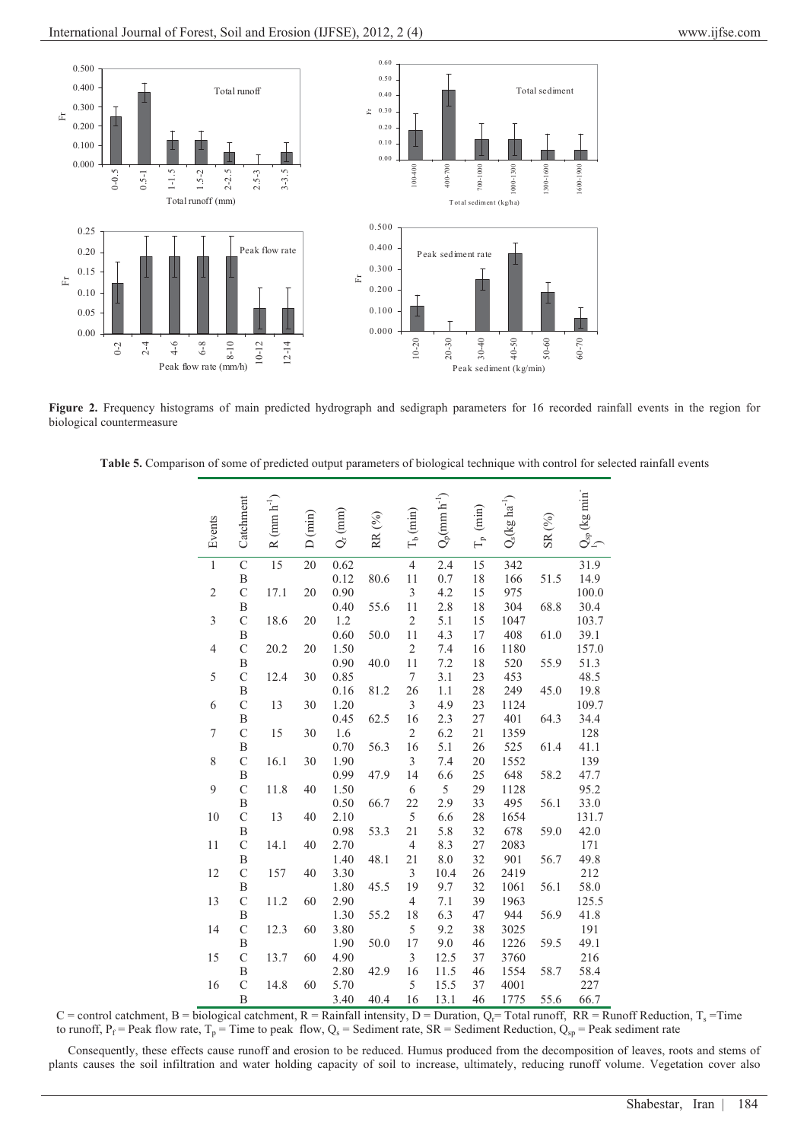

Figure 2. Frequency histograms of main predicted hydrograph and sedigraph parameters for 16 recorded rainfall events in the region for biological countermeasure

| Table 5. Comparison of some of predicted output parameters of biological technique with control for selected rainfall events |  |  |  |
|------------------------------------------------------------------------------------------------------------------------------|--|--|--|
|                                                                                                                              |  |  |  |

| Events           | Catchment        | R (mm $h^{-1}$ ) | D (min)         | $Q_r(mm)$ | RR $(^{9}_{0})$ | $T_b$ (min)    | $Q_p(\mbox{mm}\;\mbox{h}^{-1})$ | $T_{\rm p}$ (min) | $Q_s(\log\,ha^{-1})$ | $\text{SR} \left( \begin{smallmatrix} 0 & 0 \\ 0 & 0 \end{smallmatrix} \right)$ | $Q_{sp}$ (kg min $\bar{}$ |
|------------------|------------------|------------------|-----------------|-----------|-----------------|----------------|---------------------------------|-------------------|----------------------|---------------------------------------------------------------------------------|---------------------------|
| $\overline{1}$   | $\overline{C}$   | $\overline{15}$  | $\overline{20}$ | 0.62      |                 | $\overline{4}$ | $\overline{2.4}$                | 15                | 342                  |                                                                                 | 31.9                      |
|                  | $\boldsymbol{B}$ |                  |                 | 0.12      | 80.6            | 11             | 0.7                             | 18                | 166                  | 51.5                                                                            | 14.9                      |
| $\sqrt{2}$       | $\mathcal{C}$    | 17.1             | 20              | 0.90      |                 | $\mathfrak{Z}$ | 4.2                             | 15                | 975                  |                                                                                 | 100.0                     |
|                  | B                |                  |                 | 0.40      | 55.6            | 11             | 2.8                             | 18                | 304                  | 68.8                                                                            | 30.4                      |
| 3                | $\mathcal{C}$    | 18.6             | 20              | 1.2       |                 | $\sqrt{2}$     | 5.1                             | 15                | 1047                 |                                                                                 | 103.7                     |
|                  | $\, {\bf B}$     |                  |                 | 0.60      | 50.0            | 11             | 4.3                             | $17\,$            | 408                  | 61.0                                                                            | 39.1                      |
| $\overline{4}$   | $\mathcal{C}$    | 20.2             | 20              | 1.50      |                 | $\overline{2}$ | 7.4                             | 16                | 1180                 |                                                                                 | 157.0                     |
|                  | B                |                  |                 | 0.90      | 40.0            | 11             | 7.2                             | 18                | 520                  | 55.9                                                                            | 51.3                      |
| 5                | $\mathcal{C}$    | 12.4             | 30              | 0.85      |                 | $\tau$         | 3.1                             | 23                | 453                  |                                                                                 | 48.5                      |
|                  | B                |                  |                 | 0.16      | 81.2            | 26             | 1.1                             | $28\,$            | 249                  | 45.0                                                                            | 19.8                      |
| 6                | $\mathcal{C}$    | 13               | 30              | 1.20      |                 | $\mathfrak{Z}$ | 4.9                             | 23                | 1124                 |                                                                                 | 109.7                     |
|                  | B                |                  |                 | 0.45      | 62.5            | 16             | 2.3                             | $27\,$            | 401                  | 64.3                                                                            | 34.4                      |
| $\boldsymbol{7}$ | $\mathcal{C}$    | 15               | 30              | 1.6       |                 | $\mathfrak{2}$ | 6.2                             | $21\,$            | 1359                 |                                                                                 | 128                       |
|                  | B                |                  |                 | 0.70      | 56.3            | 16             | 5.1                             | $26\,$            | 525                  | 61.4                                                                            | 41.1                      |
| 8                | $\mathbf C$      | 16.1             | 30              | 1.90      |                 | $\mathfrak{Z}$ | 7.4                             | $20\,$            | 1552                 |                                                                                 | 139                       |
|                  | B                |                  |                 | 0.99      | 47.9            | 14             | 6.6                             | 25                | 648                  | 58.2                                                                            | 47.7                      |
| 9                | $\mathsf{C}$     | 11.8             | 40              | 1.50      |                 | 6              | $\overline{5}$                  | 29                | 1128                 |                                                                                 | 95.2                      |
|                  | B                |                  |                 | 0.50      | 66.7            | 22             | 2.9                             | 33                | 495                  | 56.1                                                                            | 33.0                      |
| 10               | $\mathcal{C}$    | 13               | 40              | 2.10      |                 | 5              | 6.6                             | 28                | 1654                 |                                                                                 | 131.7                     |
|                  | $\, {\bf B}$     |                  |                 | 0.98      | 53.3            | 21             | 5.8                             | 32                | 678                  | 59.0                                                                            | 42.0                      |
| 11               | $\mathcal{C}$    | 14.1             | 40              | 2.70      |                 | $\overline{4}$ | 8.3                             | 27                | 2083                 |                                                                                 | 171                       |
|                  | B                |                  |                 | 1.40      | 48.1            | 21             | 8.0                             | 32                | 901                  | 56.7                                                                            | 49.8                      |
| 12               | $\mathsf{C}$     | 157              | 40              | 3.30      |                 | $\mathfrak{Z}$ | 10.4                            | 26                | 2419                 |                                                                                 | 212                       |
|                  | B                |                  |                 | 1.80      | 45.5            | 19             | 9.7                             | 32                | 1061                 | 56.1                                                                            | 58.0                      |
| 13               | $\mathsf{C}$     | 11.2             | 60              | 2.90      |                 | $\overline{4}$ | $7.1\,$                         | 39                | 1963                 |                                                                                 | 125.5                     |
|                  | B                |                  |                 | 1.30      | 55.2            | 18             | 6.3                             | 47                | 944                  | 56.9                                                                            | 41.8                      |
| 14               | $\mathcal{C}$    | 12.3             | 60              | 3.80      |                 | 5              | 9.2                             | 38                | 3025                 |                                                                                 | 191                       |
|                  | B                |                  |                 | 1.90      | 50.0            | 17             | 9.0                             | 46                | 1226                 | 59.5                                                                            | 49.1                      |
| 15               | $\mathcal{C}$    | 13.7             | 60              | 4.90      |                 | $\mathfrak{Z}$ | 12.5                            | 37                | 3760                 |                                                                                 | 216                       |
|                  | B                |                  |                 | 2.80      | 42.9            | 16             | 11.5                            | 46                | 1554                 | 58.7                                                                            | 58.4                      |
| 16               | $\overline{C}$   | 14.8             | 60              | 5.70      |                 | 5              | 15.5                            | 37                | 4001                 |                                                                                 | 227                       |
|                  | $\overline{B}$   |                  |                 | 3.40      | 40.4            | 16             | 13.1                            | 46                | 1775                 | 55.6                                                                            | 66.7                      |

C = control catchment, B = biological catchment, R = Rainfall intensity, D = Duration,  $Q_f$ = Total runoff, RR = Runoff Reduction, T<sub>s</sub> = Time to runoff,  $P_f$  = Peak flow rate,  $T_p$  = Time to peak flow,  $Q_s$  = Sediment rate, SR = Sediment Reduction,  $Q_{sp}$  = Peak sediment rate

Consequently, these effects cause runoff and erosion to be reduced. Humus produced from the decomposition of leaves, roots and stems of plants causes the soil infiltration and water holding capacity of soil to increase, ultimately, reducing runoff volume. Vegetation cover also